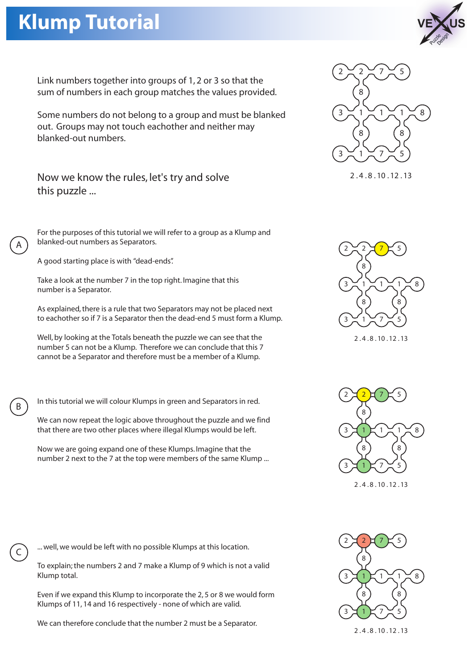## **Klump Tutorial**



Link numbers together into groups of 1, 2 or 3 so that the sum of numbers in each group matches the values provided.

Some numbers do not belong to a group and must be blanked out. Groups may not touch eachother and neither may blanked-out numbers.

Now we know the rules, let's try and solve this puzzle ...

For the purposes of this tutorial we will refer to a group as a Klump and blanked-out numbers as Separators.

A good starting place is with "dead-ends".

A

B

C

Take a look at the number 7 in the top right. Imagine that this number is a Separator.

As explained, there is a rule that two Separators may not be placed next to eachother so if 7 is a Separator then the dead-end 5 must form a Klump.

Well, by looking at the Totals beneath the puzzle we can see that the number 5 can not be a Klump. Therefore we can conclude that this 7 cannot be a Separator and therefore must be a member of a Klump.

In this tutorial we will colour Klumps in green and Separators in red.

We can now repeat the logic above throughout the puzzle and we find that there are two other places where illegal Klumps would be left.

Now we are going expand one of these Klumps. Imagine that the number 2 next to the 7 at the top were members of the same Klump ...



2 . 4 . 8 . 10 . 12 . 13



2 . 4 . 8 . 10 . 12 . 13



2 . 4 . 8 . 10 . 12 . 13

... well, we would be left with no possible Klumps at this location.

To explain; the numbers 2 and 7 make a Klump of 9 which is not a valid Klump total.

Even if we expand this Klump to incorporate the 2, 5 or 8 we would form Klumps of 11, 14 and 16 respectively - none of which are valid.

We can therefore conclude that the number 2 must be a Separator.